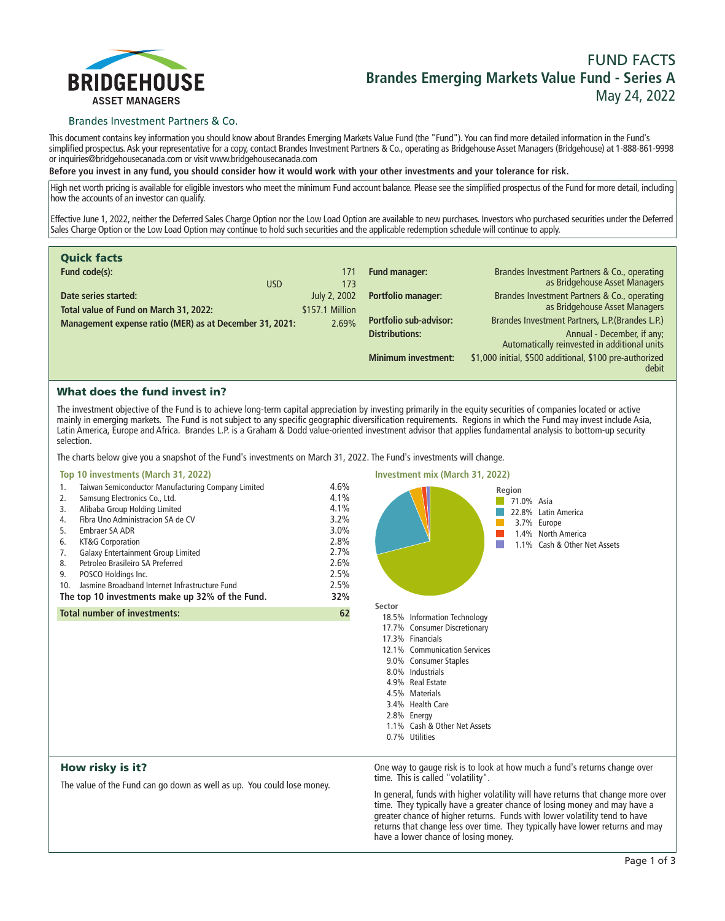

# **FUND FACTS Brandes Emerging Markets Value Fund - Series A May 24, 2022**

## Brandes Investment Partners & Co.

**This document contains key information you should know about Brandes Emerging Markets Value Fund (the "Fund"). You can find more detailed information in the Fund's simplified prospectus. Ask your representative for a copy, contact Brandes Investment Partners & Co., operating as Bridgehouse Asset Managers (Bridgehouse) at 1-888-861-9998 or inquiries@bridgehousecanada.com or visit www.bridgehousecanada.com**

**Before you invest in any fund, you should consider how it would work with your other investments and your tolerance for risk.**

**High net worth pricing is available for eligible investors who meet the minimum Fund account balance. Please see the simplified prospectus of the Fund for more detail, including how the accounts of an investor can qualify.**

**Effective June 1, 2022, neither the Deferred Sales Charge Option nor the Low Load Option are available to new purchases. Investors who purchased securities under the Deferred Sales Charge Option or the Low Load Option may continue to hold such securities and the applicable redemption schedule will continue to apply.**

| <b>Quick facts</b>                                      |                 |                            |                                                                               |
|---------------------------------------------------------|-----------------|----------------------------|-------------------------------------------------------------------------------|
| Fund code(s):                                           | 171             | <b>Fund manager:</b>       | Brandes Investment Partners & Co., operating<br>as Bridgehouse Asset Managers |
| <b>USD</b>                                              | 173             |                            |                                                                               |
| Date series started:                                    | July 2, 2002    | Portfolio manager:         | Brandes Investment Partners & Co., operating                                  |
| Total value of Fund on March 31, 2022:                  | \$157.1 Million |                            | as Bridgehouse Asset Managers                                                 |
| Management expense ratio (MER) as at December 31, 2021: | 2.69%           | Portfolio sub-advisor:     | Brandes Investment Partners, L.P. (Brandes L.P.)                              |
|                                                         |                 | <b>Distributions:</b>      | Annual - December, if any;<br>Automatically reinvested in additional units    |
|                                                         |                 | <b>Minimum investment:</b> | \$1,000 initial, \$500 additional, \$100 pre-authorized<br>debit              |

## What does the fund invest in?

**The investment objective of the Fund is to achieve long-term capital appreciation by investing primarily in the equity securities of companies located or active mainly in emerging markets. The Fund is not subject to any specific geographic diversification requirements. Regions in which the Fund may invest include Asia, Latin America, Europe and Africa. Brandes L.P. is a Graham & Dodd value-oriented investment advisor that applies fundamental analysis to bottom-up security selection.**

**The charts below give you a snapshot of the Fund's investments on March 31, 2022. The Fund's investments will change.**

#### **Top 10 investments (March 31, 2022)**

| 1.                                              | Taiwan Semiconductor Manufacturing Company Limited | 4.6%    |
|-------------------------------------------------|----------------------------------------------------|---------|
| 2.                                              | Samsung Electronics Co., Ltd.                      | 4.1%    |
| 3.                                              | Alibaba Group Holding Limited                      | 4.1%    |
| 4.                                              | Fibra Uno Administracion SA de CV                  | 3.2%    |
| 5.                                              | Embraer SA ADR                                     | $3.0\%$ |
| 6.                                              | KT&G Corporation                                   | 2.8%    |
| 7.                                              | Galaxy Entertainment Group Limited                 | 2.7%    |
| 8.                                              | Petroleo Brasileiro SA Preferred                   | 2.6%    |
| 9.                                              | POSCO Holdings Inc.                                | 2.5%    |
| 10.                                             | Jasmine Broadband Internet Infrastructure Fund     | 2.5%    |
| The top 10 investments make up 32% of the Fund. |                                                    | 32%     |
| <b>Total number of investments:</b>             |                                                    | 62      |

**Investment mix (March 31, 2022) Region**  $\sim$ **71.0% Asia 22.8% Latin America 3.7% Europe 1.4% North America 1.1% Cash & Other Net Assets Sector 18.5% Information Technology 17.7% Consumer Discretionary 17.3% Financials 12.1% Communication Services 9.0% Consumer Staples 8.0% Industrials 4.9% Real Estate 4.5% Materials 3.4% Health Care 2.8% Energy 1.1% Cash & Other Net Assets 0.7% Utilities**

## How risky is it?

**The value of the Fund can go down as well as up. You could lose money.**

**One way to gauge risk is to look at how much a fund's returns change over time. This is called "volatility".**

**In general, funds with higher volatility will have returns that change more over time. They typically have a greater chance of losing money and may have a greater chance of higher returns. Funds with lower volatility tend to have returns that change less over time. They typically have lower returns and may have a lower chance of losing money.**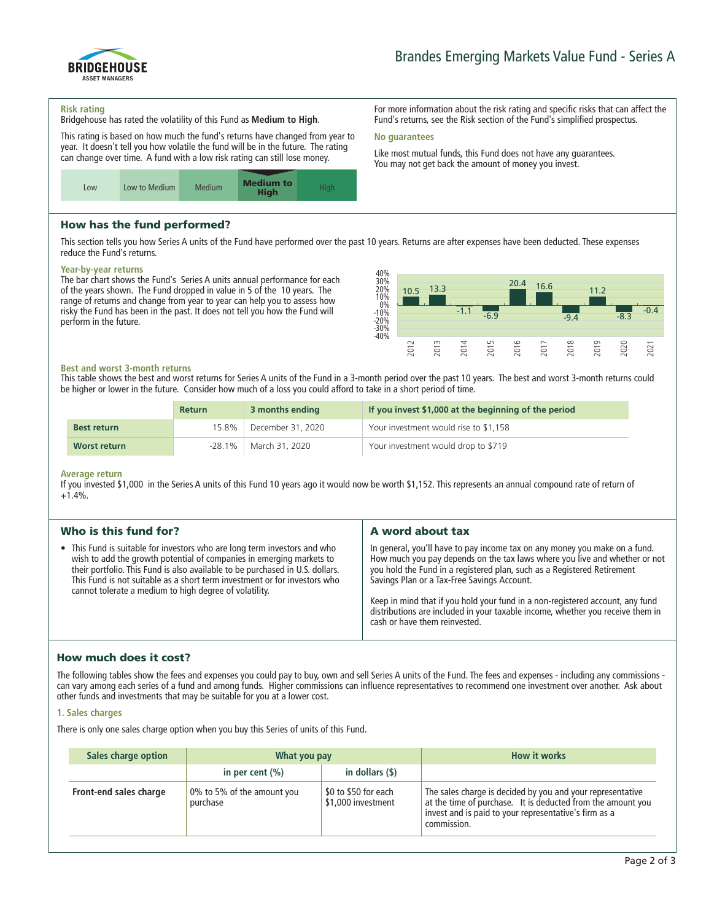

**For more information about the risk rating and specific risks that can affect the Fund's returns, see the Risk section of the Fund's simplified prospectus.**

**Like most mutual funds, this Fund does not have any guarantees. You may not get back the amount of money you invest.**

#### **Risk rating**

**Bridgehouse has rated the volatility of this Fund as Medium to High.**

**This rating is based on how much the fund's returns have changed from year to year. It doesn't tell you how volatile the fund will be in the future. The rating can change over time. A fund with a low risk rating can still lose money.**



## How has the fund performed?

**This section tells you how Series A units of the Fund have performed over the past 10 years. Returns are after expenses have been deducted. These expenses reduce the Fund's returns.**

**No guarantees**

#### **Year-by-year returns**

**The bar chart shows the Fund's Series A units annual performance for each of the years shown. The Fund dropped in value in 5 of the 10 years. The range of returns and change from year to year can help you to assess how risky the Fund has been in the past. It does not tell you how the Fund will perform in the future.**



#### **Best and worst 3-month returns**

**This table shows the best and worst returns for Series A units of the Fund in a 3-month period over the past 10 years. The best and worst 3-month returns could be higher or lower in the future. Consider how much of a loss you could afford to take in a short period of time.**

|                    | <b>Return</b> | 3 months ending   | If you invest \$1,000 at the beginning of the period |
|--------------------|---------------|-------------------|------------------------------------------------------|
| <b>Best return</b> | 15.8%         | December 31, 2020 | Your investment would rise to \$1,158                |
| Worst return       | -28.1%        | March 31, 2020    | Your investment would drop to \$719                  |

#### **Average return**

**If you invested \$1,000 in the Series A units of this Fund 10 years ago it would now be worth \$1,152. This represents an annual compound rate of return of +1.4%.**

| Who is this fund for?                                                                                                                                                                                                                                                                                                                                                     | A word about tax                                                                                                                                                                                                                                                                                                                                                                                                                                                                       |
|---------------------------------------------------------------------------------------------------------------------------------------------------------------------------------------------------------------------------------------------------------------------------------------------------------------------------------------------------------------------------|----------------------------------------------------------------------------------------------------------------------------------------------------------------------------------------------------------------------------------------------------------------------------------------------------------------------------------------------------------------------------------------------------------------------------------------------------------------------------------------|
| • This Fund is suitable for investors who are long term investors and who<br>wish to add the growth potential of companies in emerging markets to<br>their portfolio. This Fund is also available to be purchased in U.S. dollars.<br>This Fund is not suitable as a short term investment or for investors who<br>cannot tolerate a medium to high degree of volatility. | In general, you'll have to pay income tax on any money you make on a fund.<br>How much you pay depends on the tax laws where you live and whether or not<br>you hold the Fund in a registered plan, such as a Registered Retirement<br>Savings Plan or a Tax-Free Savings Account.<br>Keep in mind that if you hold your fund in a non-registered account, any fund<br>distributions are included in your taxable income, whether you receive them in<br>cash or have them reinvested. |

## How much does it cost?

**The following tables show the fees and expenses you could pay to buy, own and sell Series A units of the Fund. The fees and expenses - including any commissions can vary among each series of a fund and among funds. Higher commissions can influence representatives to recommend one investment over another. Ask about other funds and investments that may be suitable for you at a lower cost.**

#### **1. Sales charges**

**There is only one sales charge option when you buy this Series of units of this Fund.**

| Sales charge option    | What you pay                           |                                            | <b>How it works</b>                                                                                                                                                                               |
|------------------------|----------------------------------------|--------------------------------------------|---------------------------------------------------------------------------------------------------------------------------------------------------------------------------------------------------|
|                        | in per cent $(\% )$                    | in dollars $($ \$ $)$                      |                                                                                                                                                                                                   |
| Front-end sales charge | 0% to 5% of the amount you<br>purchase | \$0 to \$50 for each<br>\$1,000 investment | The sales charge is decided by you and your representative<br>at the time of purchase. It is deducted from the amount you<br>invest and is paid to your representative's firm as a<br>commission. |